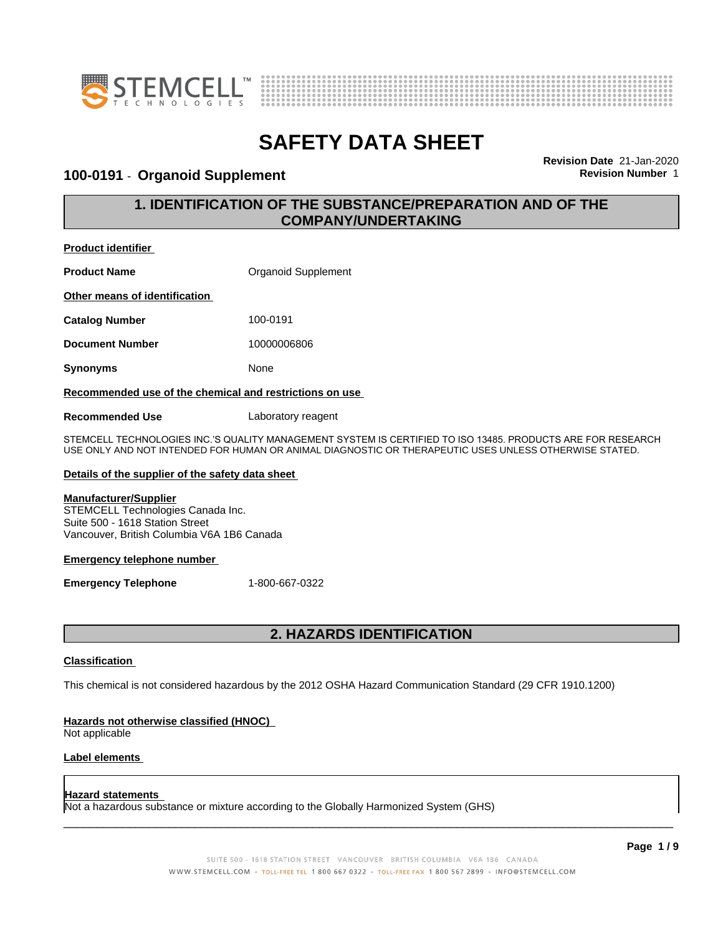



### **100-0191** - **Organoid Supplement Revision Number** 1

**Revision Date** 21-Jan-2020

## **1. IDENTIFICATION OF THE SUBSTANCE/PREPARATION AND OF THE COMPANY/UNDERTAKING**

**Product identifier**

**Product Name Conserversity** Organoid Supplement **Other means of identification Catalog Number** 100-0191 **Document Number** 10000006806 **Synonyms** None **Recommended use of the chemical and restrictions on use**

**Recommended Use** Laboratory reagent

STEMCELL TECHNOLOGIES INC.'S QUALITY MANAGEMENT SYSTEM IS CERTIFIED TO ISO 13485. PRODUCTS ARE FOR RESEARCH USE ONLY AND NOT INTENDED FOR HUMAN OR ANIMAL DIAGNOSTIC OR THERAPEUTIC USES UNLESS OTHERWISE STATED.

#### **Details of the supplier of the safety data sheet**

#### **Manufacturer/Supplier**

STEMCELL Technologies Canada Inc. Suite 500 - 1618 Station Street Vancouver, British Columbia V6A 1B6 Canada

#### **Emergency telephone number**

**Emergency Telephone** 1-800-667-0322

## **2. HAZARDS IDENTIFICATION**

#### **Classification**

This chemical is not considered hazardous by the 2012 OSHA Hazard Communication Standard (29 CFR 1910.1200)

#### **Hazards not otherwise classified (HNOC)**

Not applicable

#### **Label elements**

#### **Hazard statements**

Not a hazardous substance or mixture according to the Globally Harmonized System (GHS)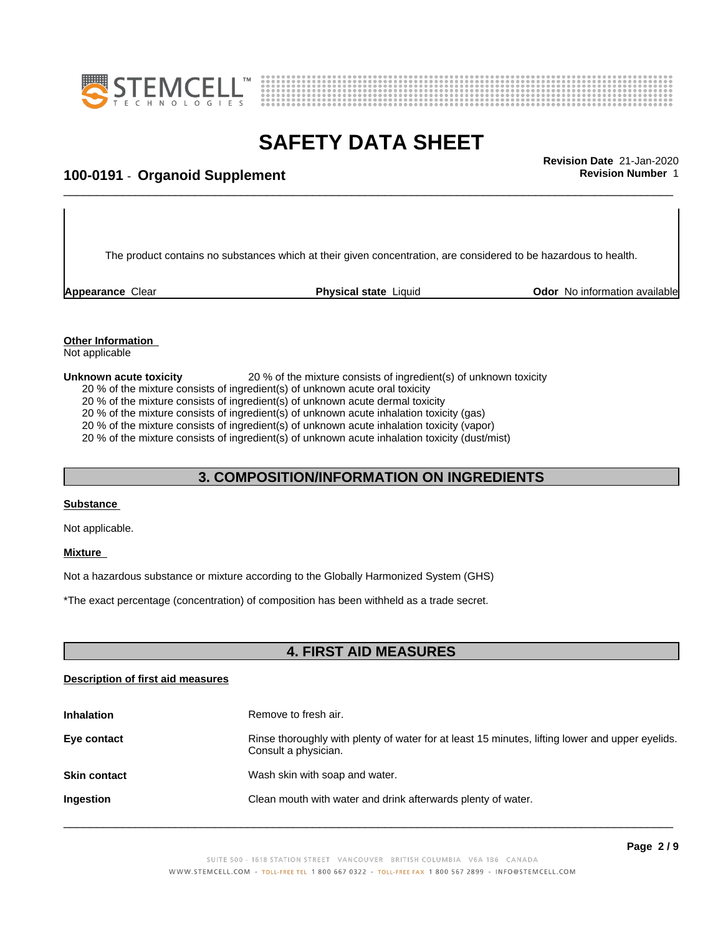



# \_\_\_\_\_\_\_\_\_\_\_\_\_\_\_\_\_\_\_\_\_\_\_\_\_\_\_\_\_\_\_\_\_\_\_\_\_\_\_\_\_\_\_\_\_\_\_\_\_\_\_\_\_\_\_\_\_\_\_\_\_\_\_\_\_\_\_\_\_\_\_\_\_\_\_\_\_\_\_\_\_\_\_\_\_\_\_\_\_\_\_\_\_ **Revision Date** 21-Jan-2020 **100-0191** - **Organoid Supplement Revision Number** 1

The product contains no substances which at their given concentration, are considered to be hazardous to health.

**Appearance** Clear **Physical state** Liquid **Odor No information available Appearance** Clear

#### **Other Information** Not applicable

**Unknown acute toxicity** 20 % of the mixture consists of ingredient(s) of unknown toxicity

20 % of the mixture consists of ingredient(s) of unknown acute oral toxicity

20 % of the mixture consists of ingredient(s) of unknown acute dermal toxicity

20 % of the mixture consists of ingredient(s) of unknown acute inhalation toxicity (gas)

20 % of the mixture consists of ingredient(s) of unknown acute inhalation toxicity (vapor)

20 % of the mixture consists of ingredient(s) of unknown acute inhalation toxicity (dust/mist)

### **3. COMPOSITION/INFORMATION ON INGREDIENTS**

#### **Substance**

Not applicable.

#### **Mixture**

Not a hazardous substance or mixture according to the Globally Harmonized System (GHS)

\*The exact percentage (concentration) ofcomposition has been withheld as a trade secret.

### **4. FIRST AID MEASURES**

#### **Description of first aid measures**

| <b>Inhalation</b>   | Remove to fresh air.                                                                                                    |
|---------------------|-------------------------------------------------------------------------------------------------------------------------|
| Eye contact         | Rinse thoroughly with plenty of water for at least 15 minutes, lifting lower and upper eyelids.<br>Consult a physician. |
| <b>Skin contact</b> | Wash skin with soap and water.                                                                                          |
| Ingestion           | Clean mouth with water and drink afterwards plenty of water.                                                            |
|                     |                                                                                                                         |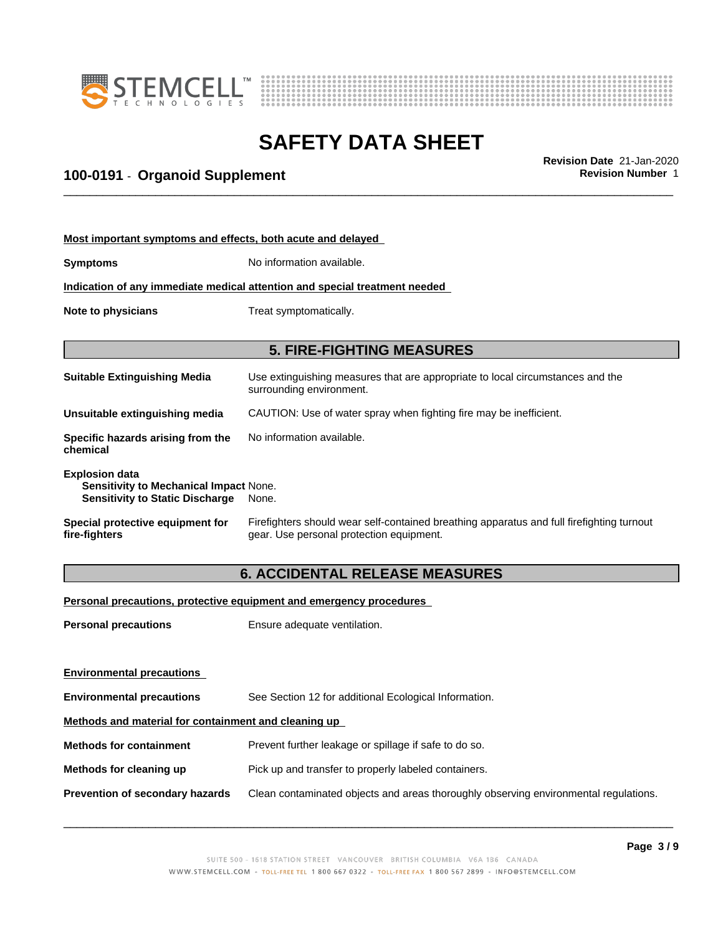



# \_\_\_\_\_\_\_\_\_\_\_\_\_\_\_\_\_\_\_\_\_\_\_\_\_\_\_\_\_\_\_\_\_\_\_\_\_\_\_\_\_\_\_\_\_\_\_\_\_\_\_\_\_\_\_\_\_\_\_\_\_\_\_\_\_\_\_\_\_\_\_\_\_\_\_\_\_\_\_\_\_\_\_\_\_\_\_\_\_\_\_\_\_ **Revision Date** 21-Jan-2020 **100-0191** - **Organoid Supplement Revision Number** 1

|                                                                                           | Most important symptoms and effects, both acute and delayed                                                               |
|-------------------------------------------------------------------------------------------|---------------------------------------------------------------------------------------------------------------------------|
|                                                                                           | No information available.<br><b>Symptoms</b>                                                                              |
|                                                                                           | Indication of any immediate medical attention and special treatment needed                                                |
|                                                                                           | Treat symptomatically.<br>Note to physicians                                                                              |
|                                                                                           |                                                                                                                           |
| Use extinguishing measures that are appropriate to local circumstances and the            | <b>Suitable Extinguishing Media</b><br>surrounding environment.                                                           |
|                                                                                           | Unsuitable extinguishing media<br>CAUTION: Use of water spray when fighting fire may be inefficient.                      |
|                                                                                           | Specific hazards arising from the<br>No information available.<br>chemical                                                |
|                                                                                           | <b>Explosion data</b><br><b>Sensitivity to Mechanical Impact None.</b><br><b>Sensitivity to Static Discharge</b><br>None. |
| Firefighters should wear self-contained breathing apparatus and full firefighting turnout | Special protective equipment for<br>gear. Use personal protection equipment.<br>fire-fighters                             |
|                                                                                           | <b>6. ACCIDENTAL RELEASE MEASURES</b>                                                                                     |
|                                                                                           | Personal precautions, protective equipment and emergency procedures                                                       |
|                                                                                           | Ensure adequate ventilation.<br><b>Personal precautions</b>                                                               |
|                                                                                           |                                                                                                                           |

| <b>Environmental precautions</b>                     |                                                                                      |
|------------------------------------------------------|--------------------------------------------------------------------------------------|
| <b>Environmental precautions</b>                     | See Section 12 for additional Ecological Information.                                |
| Methods and material for containment and cleaning up |                                                                                      |
| <b>Methods for containment</b>                       | Prevent further leakage or spillage if safe to do so.                                |
| Methods for cleaning up                              | Pick up and transfer to properly labeled containers.                                 |
| <b>Prevention of secondary hazards</b>               | Clean contaminated objects and areas thoroughly observing environmental regulations. |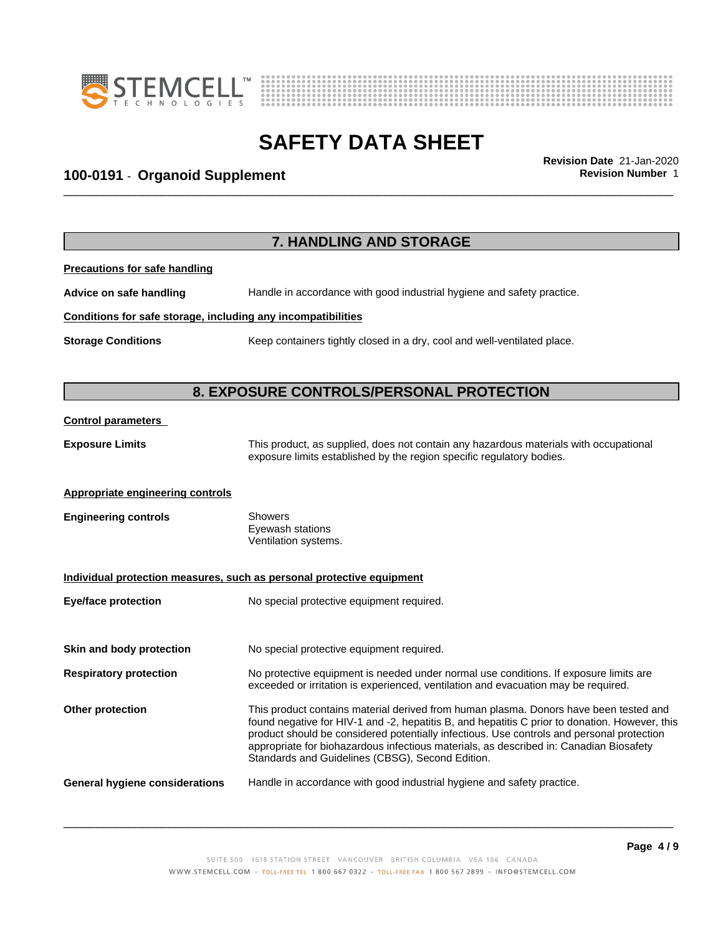



# \_\_\_\_\_\_\_\_\_\_\_\_\_\_\_\_\_\_\_\_\_\_\_\_\_\_\_\_\_\_\_\_\_\_\_\_\_\_\_\_\_\_\_\_\_\_\_\_\_\_\_\_\_\_\_\_\_\_\_\_\_\_\_\_\_\_\_\_\_\_\_\_\_\_\_\_\_\_\_\_\_\_\_\_\_\_\_\_\_\_\_\_\_ **Revision Date** 21-Jan-2020 **100-0191** - **Organoid Supplement Revision Number** 1

|                                                              | 7. HANDLING AND STORAGE                                                                                                                                                                                                                                                                                                                                                                                                            |
|--------------------------------------------------------------|------------------------------------------------------------------------------------------------------------------------------------------------------------------------------------------------------------------------------------------------------------------------------------------------------------------------------------------------------------------------------------------------------------------------------------|
| <b>Precautions for safe handling</b>                         |                                                                                                                                                                                                                                                                                                                                                                                                                                    |
| Advice on safe handling                                      | Handle in accordance with good industrial hygiene and safety practice.                                                                                                                                                                                                                                                                                                                                                             |
| Conditions for safe storage, including any incompatibilities |                                                                                                                                                                                                                                                                                                                                                                                                                                    |
| <b>Storage Conditions</b>                                    | Keep containers tightly closed in a dry, cool and well-ventilated place.                                                                                                                                                                                                                                                                                                                                                           |
|                                                              | 8. EXPOSURE CONTROLS/PERSONAL PROTECTION                                                                                                                                                                                                                                                                                                                                                                                           |
| <b>Control parameters</b>                                    |                                                                                                                                                                                                                                                                                                                                                                                                                                    |
| <b>Exposure Limits</b>                                       | This product, as supplied, does not contain any hazardous materials with occupational<br>exposure limits established by the region specific regulatory bodies.                                                                                                                                                                                                                                                                     |
| Appropriate engineering controls                             |                                                                                                                                                                                                                                                                                                                                                                                                                                    |
| <b>Engineering controls</b>                                  | Showers<br>Eyewash stations<br>Ventilation systems.                                                                                                                                                                                                                                                                                                                                                                                |
|                                                              | Individual protection measures, such as personal protective equipment                                                                                                                                                                                                                                                                                                                                                              |
| <b>Eye/face protection</b>                                   | No special protective equipment required.                                                                                                                                                                                                                                                                                                                                                                                          |
| Skin and body protection                                     | No special protective equipment required.                                                                                                                                                                                                                                                                                                                                                                                          |
| <b>Respiratory protection</b>                                | No protective equipment is needed under normal use conditions. If exposure limits are<br>exceeded or irritation is experienced, ventilation and evacuation may be required.                                                                                                                                                                                                                                                        |
| <b>Other protection</b>                                      | This product contains material derived from human plasma. Donors have been tested and<br>found negative for HIV-1 and -2, hepatitis B, and hepatitis C prior to donation. However, this<br>product should be considered potentially infectious. Use controls and personal protection<br>appropriate for biohazardous infectious materials, as described in: Canadian Biosafety<br>Standards and Guidelines (CBSG), Second Edition. |
| <b>General hygiene considerations</b>                        | Handle in accordance with good industrial hygiene and safety practice.                                                                                                                                                                                                                                                                                                                                                             |
|                                                              |                                                                                                                                                                                                                                                                                                                                                                                                                                    |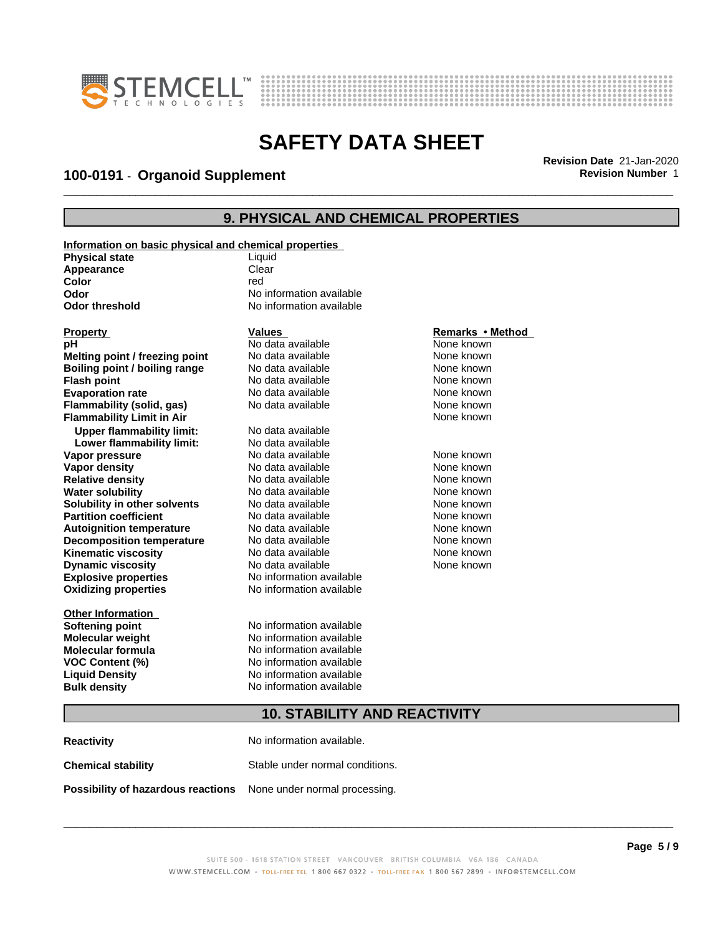



# \_\_\_\_\_\_\_\_\_\_\_\_\_\_\_\_\_\_\_\_\_\_\_\_\_\_\_\_\_\_\_\_\_\_\_\_\_\_\_\_\_\_\_\_\_\_\_\_\_\_\_\_\_\_\_\_\_\_\_\_\_\_\_\_\_\_\_\_\_\_\_\_\_\_\_\_\_\_\_\_\_\_\_\_\_\_\_\_\_\_\_\_\_ **Revision Date** 21-Jan-2020 **100-0191** - **Organoid Supplement Revision Number** 1

### **9. PHYSICAL AND CHEMICAL PROPERTIES**

| Information on basic physical and chemical properties |                          |                  |
|-------------------------------------------------------|--------------------------|------------------|
| <b>Physical state</b>                                 | Liquid                   |                  |
| Appearance                                            | Clear                    |                  |
| Color                                                 | red                      |                  |
| Odor                                                  | No information available |                  |
| Odor threshold                                        | No information available |                  |
| <b>Property</b>                                       | Values                   | Remarks • Method |
| рH                                                    | No data available        | None known       |
| Melting point / freezing point                        | No data available        | None known       |
| Boiling point / boiling range                         | No data available        | None known       |
| <b>Flash point</b>                                    | No data available        | None known       |
| <b>Evaporation rate</b>                               | No data available        | None known       |
| Flammability (solid, gas)                             | No data available        | None known       |
| <b>Flammability Limit in Air</b>                      |                          | None known       |
| <b>Upper flammability limit:</b>                      | No data available        |                  |
| Lower flammability limit:                             | No data available        |                  |
| Vapor pressure                                        | No data available        | None known       |
| <b>Vapor density</b>                                  | No data available        | None known       |
| <b>Relative density</b>                               | No data available        | None known       |
| <b>Water solubility</b>                               | No data available        | None known       |
| Solubility in other solvents                          | No data available        | None known       |
| <b>Partition coefficient</b>                          | No data available        | None known       |
| <b>Autoignition temperature</b>                       | No data available        | None known       |
| <b>Decomposition temperature</b>                      | No data available        | None known       |
| <b>Kinematic viscosity</b>                            | No data available        | None known       |
| <b>Dynamic viscosity</b>                              | No data available        | None known       |
| <b>Explosive properties</b>                           | No information available |                  |
| <b>Oxidizing properties</b>                           | No information available |                  |
| <b>Other Information</b>                              |                          |                  |
| Softening point                                       | No information available |                  |
| <b>Molecular weight</b>                               | No information available |                  |
| <b>Molecular formula</b>                              | No information available |                  |
| <b>VOC Content (%)</b>                                | No information available |                  |
| <b>Liquid Density</b>                                 | No information available |                  |
| <b>Bulk density</b>                                   | No information available |                  |
|                                                       |                          |                  |

#### **Remarks** • Method

## **10. STABILITY AND REACTIVITY**

| <b>Reactivity</b>                  | No information available.       |
|------------------------------------|---------------------------------|
| <b>Chemical stability</b>          | Stable under normal conditions. |
| Possibility of hazardous reactions | None under normal processing.   |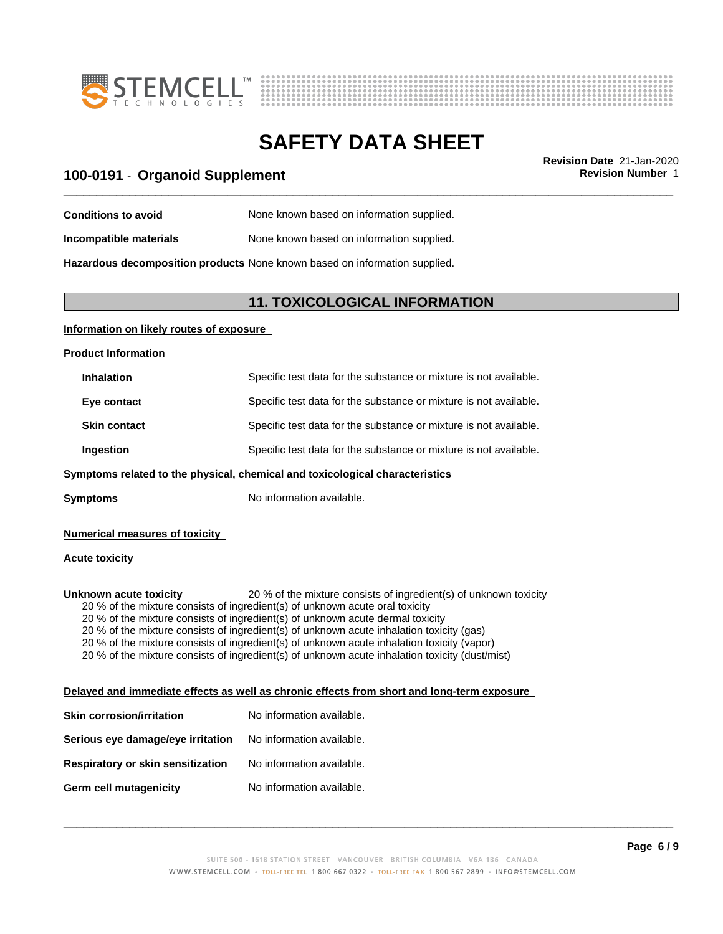



# \_\_\_\_\_\_\_\_\_\_\_\_\_\_\_\_\_\_\_\_\_\_\_\_\_\_\_\_\_\_\_\_\_\_\_\_\_\_\_\_\_\_\_\_\_\_\_\_\_\_\_\_\_\_\_\_\_\_\_\_\_\_\_\_\_\_\_\_\_\_\_\_\_\_\_\_\_\_\_\_\_\_\_\_\_\_\_\_\_\_\_\_\_ **Revision Date** 21-Jan-2020 **100-0191** - **Organoid Supplement Revision Number** 1

| <b>Conditions to avoid</b> | None known based on information supplied. |
|----------------------------|-------------------------------------------|
|                            |                                           |

**Incompatible materials** None known based on information supplied.

**Hazardous decomposition products** None known based on information supplied.

### **11. TOXICOLOGICAL INFORMATION**

#### **Information on likely routes of exposure**

**Product Information**

| Specific test data for the substance or mixture is not available. |
|-------------------------------------------------------------------|
| Specific test data for the substance or mixture is not available. |
| Specific test data for the substance or mixture is not available. |
| Specific test data for the substance or mixture is not available. |
|                                                                   |

#### **<u>Symptoms related to the physical, chemical and toxicological characteristics</u>**

**Symptoms** No information available.

#### **Numerical measures of toxicity**

#### **Acute toxicity**

**Unknown acute toxicity** 20 % of the mixture consists of ingredient(s) of unknown toxicity 20 % of the mixture consists of ingredient(s) of unknown acute oral toxicity 20 % of the mixture consists of ingredient(s) of unknown acute dermal toxicity 20 % of the mixture consists of ingredient(s) of unknown acute inhalation toxicity (gas) 20 % of the mixture consists of ingredient(s) of unknown acute inhalation toxicity (vapor) 20 % of the mixture consists of ingredient(s) of unknown acute inhalation toxicity (dust/mist)

#### **Delayed and immediate effects as well as chronic effects from short and long-term exposure**

| <b>Skin corrosion/irritation</b>         | No information available. |
|------------------------------------------|---------------------------|
| Serious eye damage/eye irritation        | No information available. |
| <b>Respiratory or skin sensitization</b> | No information available. |
| Germ cell mutagenicity                   | No information available. |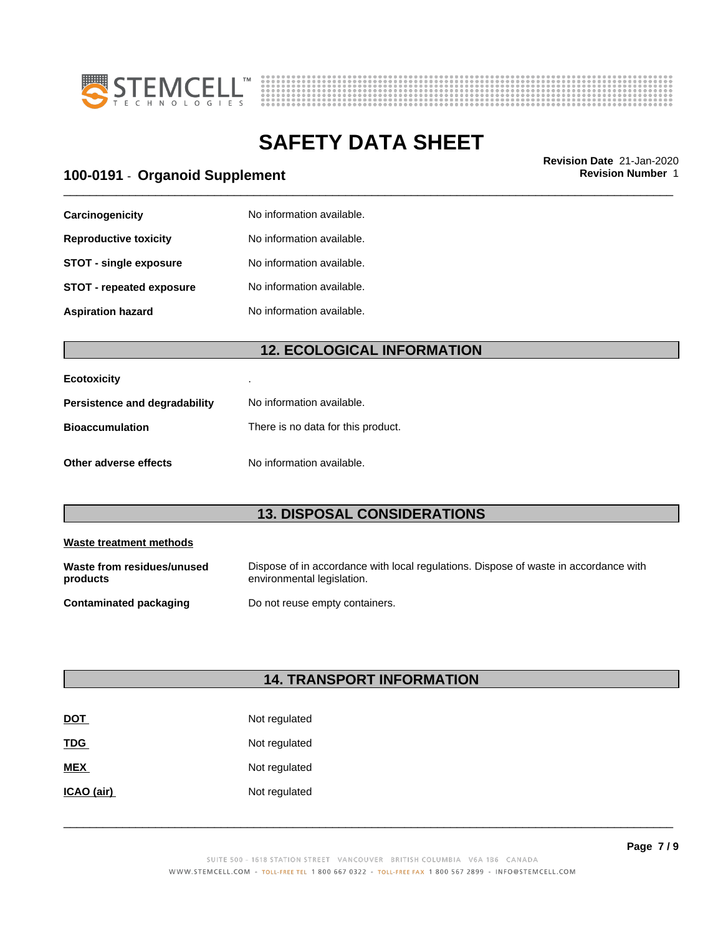



# \_\_\_\_\_\_\_\_\_\_\_\_\_\_\_\_\_\_\_\_\_\_\_\_\_\_\_\_\_\_\_\_\_\_\_\_\_\_\_\_\_\_\_\_\_\_\_\_\_\_\_\_\_\_\_\_\_\_\_\_\_\_\_\_\_\_\_\_\_\_\_\_\_\_\_\_\_\_\_\_\_\_\_\_\_\_\_\_\_\_\_\_\_ **Revision Date** 21-Jan-2020 **100-0191** - **Organoid Supplement Revision Number** 1

| Carcinogenicity                 | No information available. |
|---------------------------------|---------------------------|
| <b>Reproductive toxicity</b>    | No information available. |
| <b>STOT - single exposure</b>   | No information available. |
| <b>STOT - repeated exposure</b> | No information available. |
| <b>Aspiration hazard</b>        | No information available. |

## **12. ECOLOGICAL INFORMATION**

| <b>Ecotoxicity</b>            |                                    |
|-------------------------------|------------------------------------|
| Persistence and degradability | No information available.          |
| <b>Bioaccumulation</b>        | There is no data for this product. |
| Other adverse effects         | No information available.          |

## **13. DISPOSAL CONSIDERATIONS**

| Waste treatment methods                |                                                                                                                    |
|----------------------------------------|--------------------------------------------------------------------------------------------------------------------|
| Waste from residues/unused<br>products | Dispose of in accordance with local regulations. Dispose of waste in accordance with<br>environmental legislation. |
| <b>Contaminated packaging</b>          | Do not reuse empty containers.                                                                                     |

## **14. TRANSPORT INFORMATION**

| <b>DOT</b> | Not regulated |
|------------|---------------|
| <b>TDG</b> | Not regulated |
| <b>MEX</b> | Not regulated |
| ICAO (air) | Not regulated |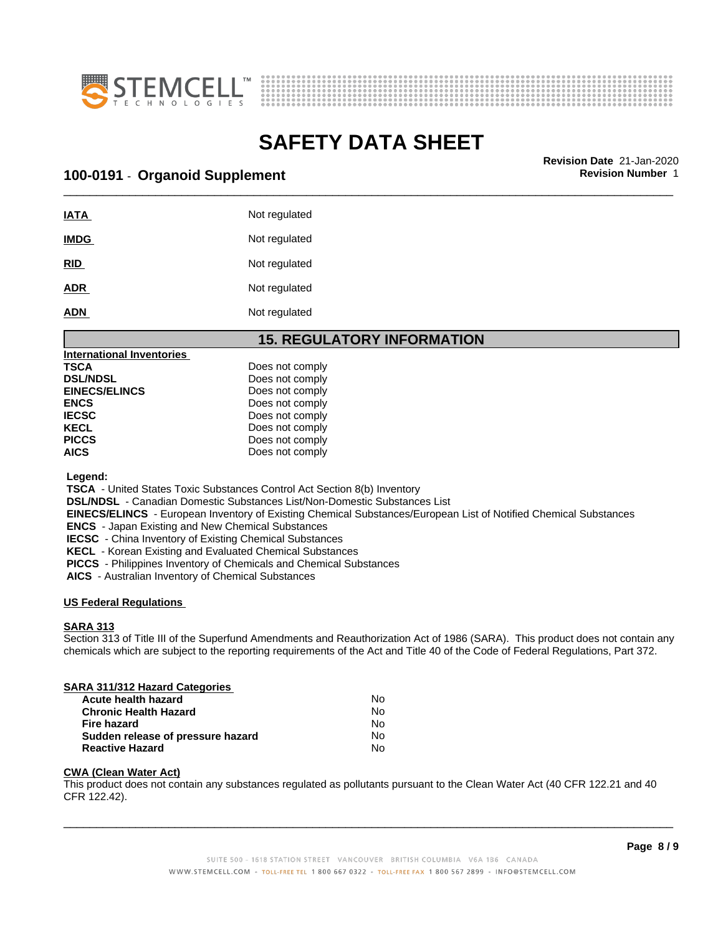



\_\_\_\_\_\_\_\_\_\_\_\_\_\_\_\_\_\_\_\_\_\_\_\_\_\_\_\_\_\_\_\_\_\_\_\_\_\_\_\_\_\_\_\_\_\_\_\_\_\_\_\_\_\_\_\_\_\_\_\_\_\_\_\_\_\_\_\_\_\_\_\_\_\_\_\_\_\_\_\_\_\_\_\_\_\_\_\_\_\_\_\_\_ **Revision Date** 21-Jan-2020 **100-0191** - **Organoid Supplement Revision Number** 1

| <b>IATA</b> | Not regulated |
|-------------|---------------|
| <b>IMDG</b> | Not regulated |
| <b>RID</b>  | Not regulated |
| <b>ADR</b>  | Not regulated |
| <b>ADN</b>  | Not regulated |

### **15. REGULATORY INFORMATION**

| <b>International Inventories</b> |                 |
|----------------------------------|-----------------|
| TSCA                             | Does not comply |
| <b>DSL/NDSL</b>                  | Does not comply |
| <b>EINECS/ELINCS</b>             | Does not comply |
| ENCS                             | Does not comply |
| IECSC                            | Does not comply |
| KECL                             | Does not comply |
| PICCS                            | Does not comply |
| AICS                             | Does not comply |
|                                  |                 |

 **Legend:**

 **TSCA** - United States Toxic Substances Control Act Section 8(b) Inventory

 **DSL/NDSL** - Canadian Domestic Substances List/Non-Domestic Substances List

 **EINECS/ELINCS** - European Inventory of Existing Chemical Substances/European List of Notified Chemical Substances

 **ENCS** - Japan Existing and New Chemical Substances

 **IECSC** - China Inventory of Existing Chemical Substances

 **KECL** - Korean Existing and Evaluated Chemical Substances

 **PICCS** - Philippines Inventory of Chemicals and Chemical Substances

 **AICS** - Australian Inventory of Chemical Substances

#### **US Federal Regulations**

#### **SARA 313**

Section 313 of Title III of the Superfund Amendments and Reauthorization Act of 1986 (SARA). This product does not contain any chemicals which are subject to the reporting requirements of the Act and Title 40 of the Code of Federal Regulations, Part 372.

### **SARA 311/312 Hazard Categories**

| <b>Acute health hazard</b>        | N٥ |
|-----------------------------------|----|
| <b>Chronic Health Hazard</b>      | No |
| Fire hazard                       | N٥ |
| Sudden release of pressure hazard | N٥ |
| <b>Reactive Hazard</b>            | Nο |

#### **CWA (Clean WaterAct)**

This product does not contain any substances regulated as pollutants pursuant to the Clean Water Act (40 CFR 122.21 and 40 CFR 122.42).